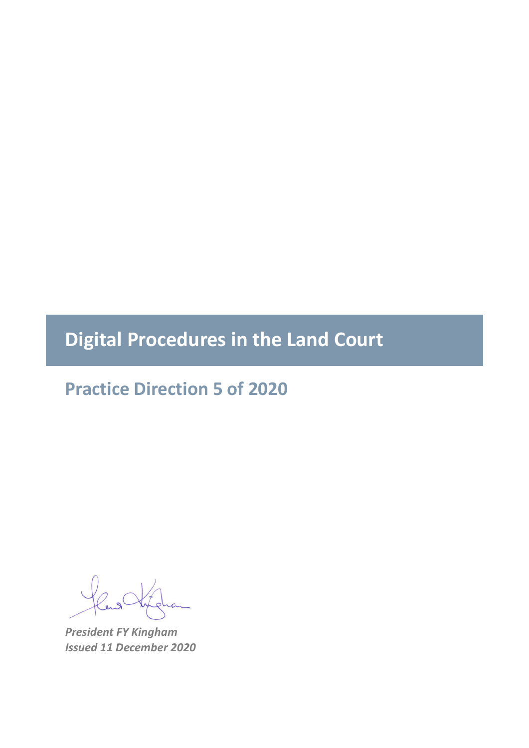**Digital Procedures in the Land Court** 

**Practice Direction 5 of 2020**

*President FY Kingham Issued 11 December 2020*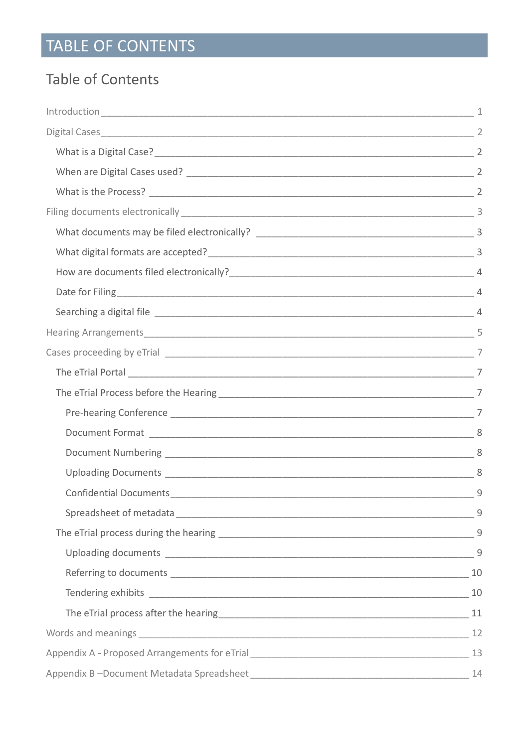# TABLE OF CONTENTS

# Table of Contents

|  | 9 |  |  |  |  |  |
|--|---|--|--|--|--|--|
|  | 9 |  |  |  |  |  |
|  |   |  |  |  |  |  |
|  |   |  |  |  |  |  |
|  |   |  |  |  |  |  |
|  |   |  |  |  |  |  |
|  |   |  |  |  |  |  |
|  |   |  |  |  |  |  |
|  |   |  |  |  |  |  |
|  |   |  |  |  |  |  |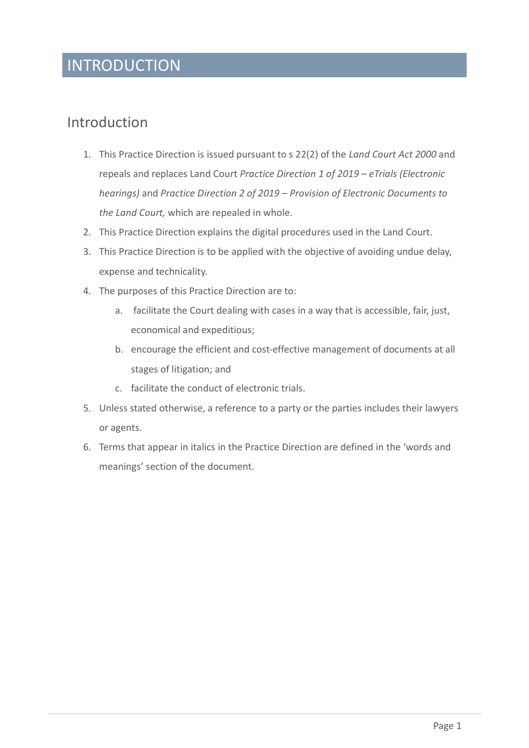# **INTRODUCTION**

### <span id="page-2-0"></span>Introduction

- 1. This Practice Direction is issued pursuant to s 22(2) of the *Land Court Act 2000* and repeals and replaces Land Court *Practice Direction 1 of 2019 – eTrials (Electronic hearings)* and *Practice Direction 2 of 2019 – Provision of Electronic Documents to the Land Court,* which are repealed in whole.
- 2. This Practice Direction explains the digital procedures used in the Land Court.
- 3. This Practice Direction is to be applied with the objective of avoiding undue delay, expense and technicality.
- 4. The purposes of this Practice Direction are to:
	- a. facilitate the Court dealing with cases in a way that is accessible, fair, just, economical and expeditious;
	- b. encourage the efficient and cost-effective management of documents at all stages of litigation; and
	- c. facilitate the conduct of electronic trials.
- 5. Unless stated otherwise, a reference to a party or the parties includes their lawyers or agents.
- 6. Terms that appear in italics in the Practice Direction are defined in the 'words and meanings' section of the document.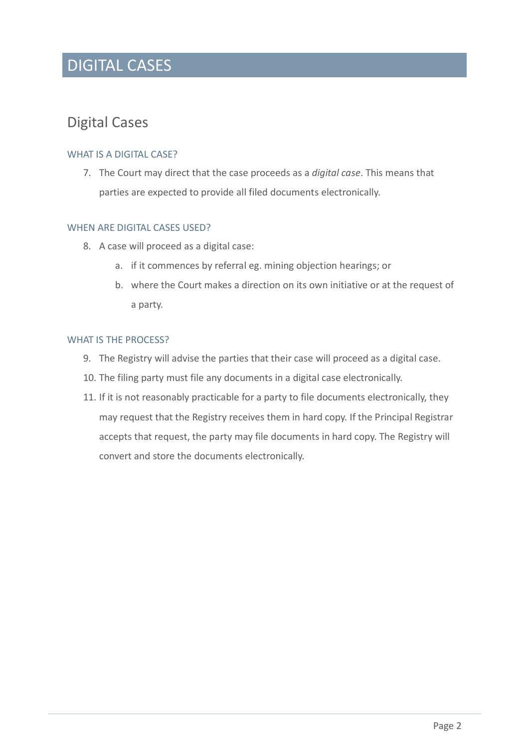# DIGITAL CASES

### <span id="page-3-0"></span>Digital Cases

### <span id="page-3-1"></span>WHAT IS A DIGITAL CASE?

7. The Court may direct that the case proceeds as a *digital case*. This means that parties are expected to provide all filed documents electronically.

### <span id="page-3-2"></span>WHEN ARE DIGITAL CASES USED?

- 8. A case will proceed as a digital case:
	- a. if it commences by referral eg. mining objection hearings; or
	- b. where the Court makes a direction on its own initiative or at the request of a party.

#### <span id="page-3-3"></span>WHAT IS THE PROCESS?

- 9. The Registry will advise the parties that their case will proceed as a digital case.
- 10. The filing party must file any documents in a digital case electronically.
- 11. If it is not reasonably practicable for a party to file documents electronically, they may request that the Registry receives them in hard copy. If the Principal Registrar accepts that request, the party may file documents in hard copy. The Registry will convert and store the documents electronically.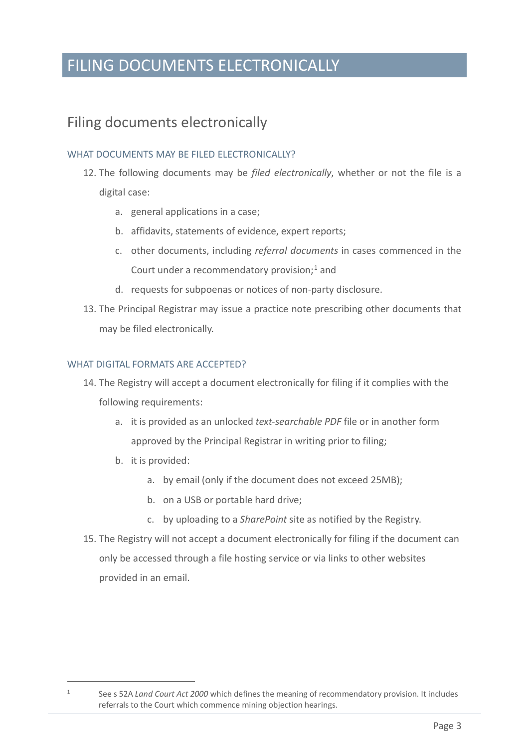# FILING DOCUMENTS ELECTRONICALLY

### <span id="page-4-0"></span>Filing documents electronically

### <span id="page-4-1"></span>WHAT DOCUMENTS MAY BE FILED ELECTRONICALLY?

- 12. The following documents may be *filed electronically*, whether or not the file is a digital case:
	- a. general applications in a case;
	- b. affidavits, statements of evidence, expert reports;
	- c. other documents, including *referral documents* in cases commenced in the Court under a recommendatory provision; [1](#page-4-3) and
	- d. requests for subpoenas or notices of non-party disclosure.
- 13. The Principal Registrar may issue a practice note prescribing other documents that may be filed electronically.

### <span id="page-4-2"></span>WHAT DIGITAL FORMATS ARE ACCEPTED?

- 14. The Registry will accept a document electronically for filing if it complies with the following requirements:
	- a. it is provided as an unlocked *text-searchable PDF* file or in another form approved by the Principal Registrar in writing prior to filing;
	- b. it is provided:
		- a. by email (only if the document does not exceed 25MB);
		- b. on a USB or portable hard drive;
		- c. by uploading to a *SharePoint* site as notified by the Registry.
- 15. The Registry will not accept a document electronically for filing if the document can only be accessed through a file hosting service or via links to other websites provided in an email.

<span id="page-4-3"></span><sup>1</sup> See s 52A *Land Court Act 2000* which defines the meaning of recommendatory provision. It includes referrals to the Court which commence mining objection hearings.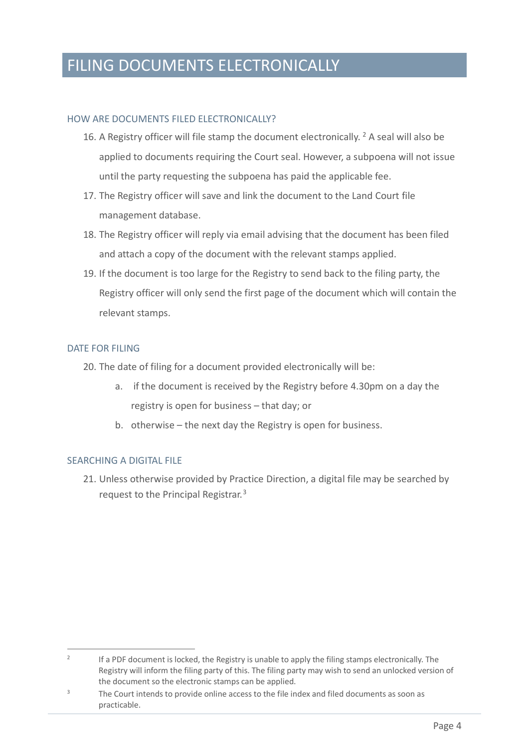# FILING DOCUMENTS ELECTRONICALLY

### <span id="page-5-0"></span>HOW ARE DOCUMENTS FILED ELECTRONICALLY?

- 16. A Registry officer will file stamp the document electronically.  $2$  A seal will also be applied to documents requiring the Court seal. However, a subpoena will not issue until the party requesting the subpoena has paid the applicable fee.
- 17. The Registry officer will save and link the document to the Land Court file management database.
- 18. The Registry officer will reply via email advising that the document has been filed and attach a copy of the document with the relevant stamps applied.
- 19. If the document is too large for the Registry to send back to the filing party, the Registry officer will only send the first page of the document which will contain the relevant stamps.

### <span id="page-5-1"></span>DATE FOR FILING

- 20. The date of filing for a document provided electronically will be:
	- a. if the document is received by the Registry before 4.30pm on a day the registry is open for business – that day; or
	- b. otherwise the next day the Registry is open for business.

### <span id="page-5-2"></span>SEARCHING A DIGITAL FILE

21. Unless otherwise provided by Practice Direction, a digital file may be searched by request to the Principal Registrar.[3](#page-5-4)

<span id="page-5-3"></span><sup>&</sup>lt;sup>2</sup> If a PDF document is locked, the Registry is unable to apply the filing stamps electronically. The Registry will inform the filing party of this. The filing party may wish to send an unlocked version of the document so the electronic stamps can be applied.

<span id="page-5-4"></span><sup>&</sup>lt;sup>3</sup> The Court intends to provide online access to the file index and filed documents as soon as practicable.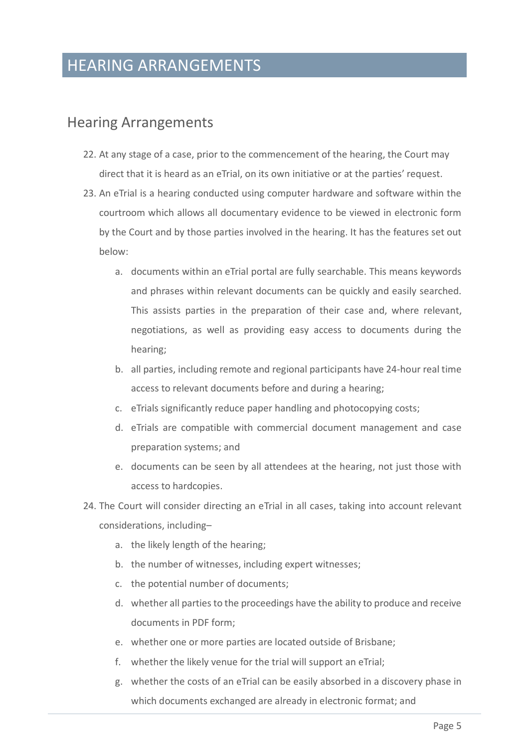### HEARING ARRANGEMENTS

### <span id="page-6-0"></span>Hearing Arrangements

- 22. At any stage of a case, prior to the commencement of the hearing, the Court may direct that it is heard as an eTrial, on its own initiative or at the parties' request.
- 23. An eTrial is a hearing conducted using computer hardware and software within the courtroom which allows all documentary evidence to be viewed in electronic form by the Court and by those parties involved in the hearing. It has the features set out below:
	- a. documents within an eTrial portal are fully searchable. This means keywords and phrases within relevant documents can be quickly and easily searched. This assists parties in the preparation of their case and, where relevant, negotiations, as well as providing easy access to documents during the hearing;
	- b. all parties, including remote and regional participants have 24-hour real time access to relevant documents before and during a hearing;
	- c. eTrials significantly reduce paper handling and photocopying costs;
	- d. eTrials are compatible with commercial document management and case preparation systems; and
	- e. documents can be seen by all attendees at the hearing, not just those with access to hardcopies.
- 24. The Court will consider directing an eTrial in all cases, taking into account relevant considerations, including–
	- a. the likely length of the hearing;
	- b. the number of witnesses, including expert witnesses;
	- c. the potential number of documents;
	- d. whether all parties to the proceedings have the ability to produce and receive documents in PDF form;
	- e. whether one or more parties are located outside of Brisbane;
	- f. whether the likely venue for the trial will support an eTrial;
	- g. whether the costs of an eTrial can be easily absorbed in a discovery phase in which documents exchanged are already in electronic format; and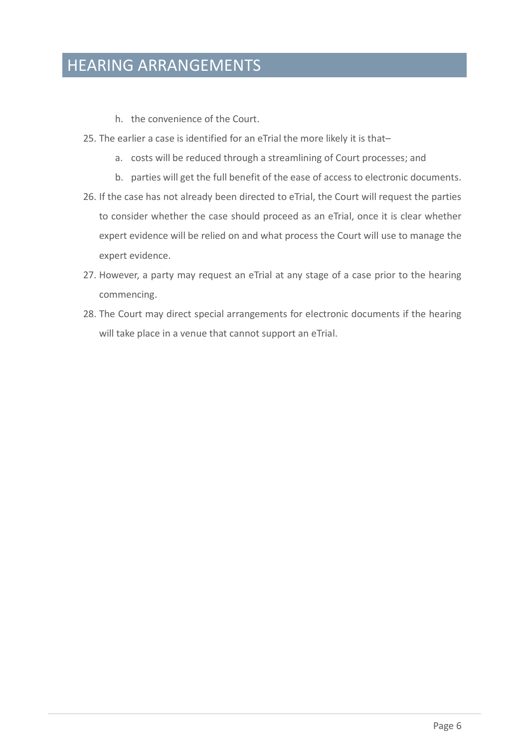# HEARING ARRANGEMENTS

- h. the convenience of the Court.
- 25. The earlier a case is identified for an eTrial the more likely it is that–
	- a. costs will be reduced through a streamlining of Court processes; and
	- b. parties will get the full benefit of the ease of access to electronic documents.
- 26. If the case has not already been directed to eTrial, the Court will request the parties to consider whether the case should proceed as an eTrial, once it is clear whether expert evidence will be relied on and what process the Court will use to manage the expert evidence.
- 27. However, a party may request an eTrial at any stage of a case prior to the hearing commencing.
- 28. The Court may direct special arrangements for electronic documents if the hearing will take place in a venue that cannot support an eTrial.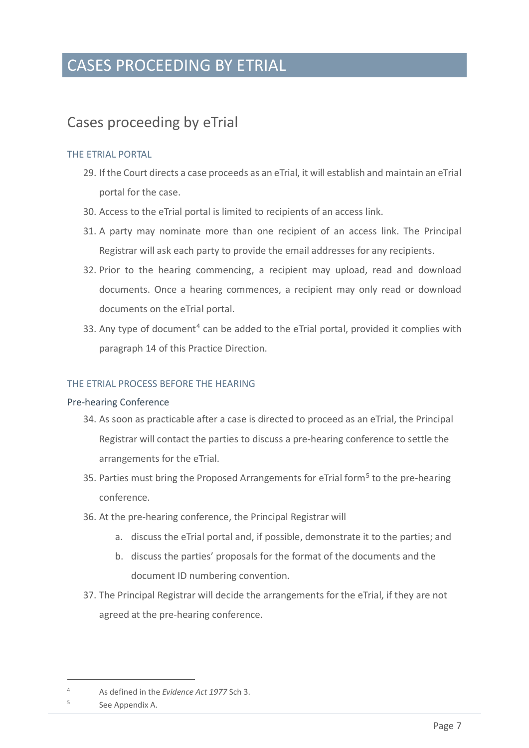### <span id="page-8-0"></span>Cases proceeding by eTrial

### <span id="page-8-1"></span>THE ETRIAL PORTAL

- 29. If the Court directs a case proceeds as an eTrial, it will establish and maintain an eTrial portal for the case.
- 30. Access to the eTrial portal is limited to recipients of an access link.
- 31. A party may nominate more than one recipient of an access link. The Principal Registrar will ask each party to provide the email addresses for any recipients.
- 32. Prior to the hearing commencing, a recipient may upload, read and download documents. Once a hearing commences, a recipient may only read or download documents on the eTrial portal.
- 33. Any type of document<sup>[4](#page-8-4)</sup> can be added to the eTrial portal, provided it complies with paragraph 14 of this Practice Direction.

#### <span id="page-8-2"></span>THE ETRIAL PROCESS BEFORE THE HEARING

#### <span id="page-8-3"></span>Pre-hearing Conference

- 34. As soon as practicable after a case is directed to proceed as an eTrial, the Principal Registrar will contact the parties to discuss a pre-hearing conference to settle the arrangements for the eTrial.
- 3[5](#page-8-5). Parties must bring the Proposed Arrangements for eTrial form<sup>5</sup> to the pre-hearing conference.
- 36. At the pre-hearing conference, the Principal Registrar will
	- a. discuss the eTrial portal and, if possible, demonstrate it to the parties; and
	- b. discuss the parties' proposals for the format of the documents and the document ID numbering convention.
- 37. The Principal Registrar will decide the arrangements for the eTrial, if they are not agreed at the pre-hearing conference.

<span id="page-8-4"></span><sup>4</sup> As defined in the *Evidence Act 1977* Sch 3.

<span id="page-8-5"></span><sup>&</sup>lt;sup>5</sup> See Appendix A.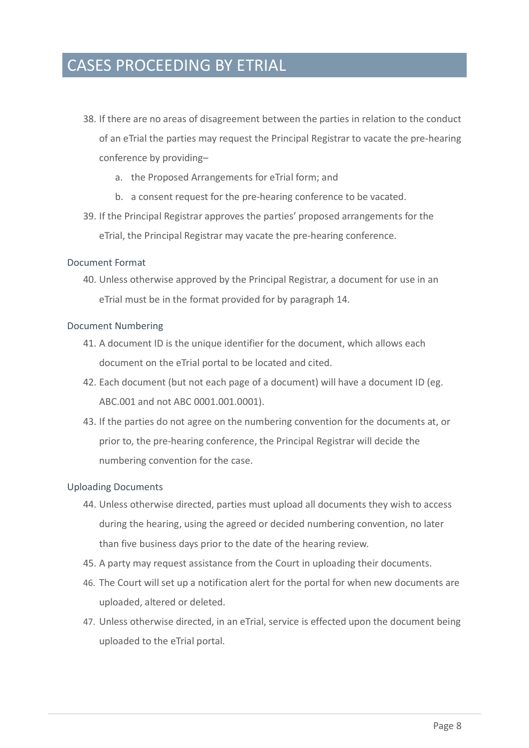- 38. If there are no areas of disagreement between the parties in relation to the conduct of an eTrial the parties may request the Principal Registrar to vacate the pre-hearing conference by providing–
	- a. the Proposed Arrangements for eTrial form; and
	- b. a consent request for the pre-hearing conference to be vacated.
- 39. If the Principal Registrar approves the parties' proposed arrangements for the eTrial, the Principal Registrar may vacate the pre-hearing conference.

#### <span id="page-9-0"></span>Document Format

40. Unless otherwise approved by the Principal Registrar, a document for use in an eTrial must be in the format provided for by paragraph 14.

#### <span id="page-9-1"></span>Document Numbering

- 41. A document ID is the unique identifier for the document, which allows each document on the eTrial portal to be located and cited.
- 42. Each document (but not each page of a document) will have a document ID (eg. ABC.001 and not ABC 0001.001.0001).
- 43. If the parties do not agree on the numbering convention for the documents at, or prior to, the pre-hearing conference, the Principal Registrar will decide the numbering convention for the case.

#### <span id="page-9-2"></span>Uploading Documents

- 44. Unless otherwise directed, parties must upload all documents they wish to access during the hearing, using the agreed or decided numbering convention, no later than five business days prior to the date of the hearing review.
- 45. A party may request assistance from the Court in uploading their documents.
- 46. The Court will set up a notification alert for the portal for when new documents are uploaded, altered or deleted.
- 47. Unless otherwise directed, in an eTrial, service is effected upon the document being uploaded to the eTrial portal.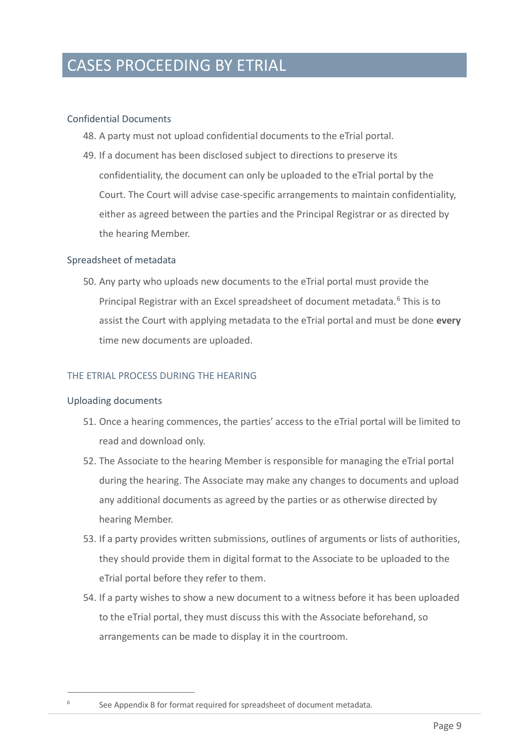### <span id="page-10-0"></span>Confidential Documents

- 48. A party must not upload confidential documents to the eTrial portal.
- 49. If a document has been disclosed subject to directions to preserve its confidentiality, the document can only be uploaded to the eTrial portal by the Court. The Court will advise case-specific arrangements to maintain confidentiality, either as agreed between the parties and the Principal Registrar or as directed by the hearing Member.

#### <span id="page-10-1"></span>Spreadsheet of metadata

50. Any party who uploads new documents to the eTrial portal must provide the Principal Registrar with an Excel spreadsheet of document metadata. [6](#page-10-4) This is to assist the Court with applying metadata to the eTrial portal and must be done **every**  time new documents are uploaded.

### <span id="page-10-2"></span>THE ETRIAL PROCESS DURING THE HEARING

#### <span id="page-10-3"></span>Uploading documents

- 51. Once a hearing commences, the parties' access to the eTrial portal will be limited to read and download only.
- 52. The Associate to the hearing Member is responsible for managing the eTrial portal during the hearing. The Associate may make any changes to documents and upload any additional documents as agreed by the parties or as otherwise directed by hearing Member.
- 53. If a party provides written submissions, outlines of arguments or lists of authorities, they should provide them in digital format to the Associate to be uploaded to the eTrial portal before they refer to them.
- 54. If a party wishes to show a new document to a witness before it has been uploaded to the eTrial portal, they must discuss this with the Associate beforehand, so arrangements can be made to display it in the courtroom.

<span id="page-10-4"></span><sup>&</sup>lt;sup>6</sup> See Appendix B for format required for spreadsheet of document metadata.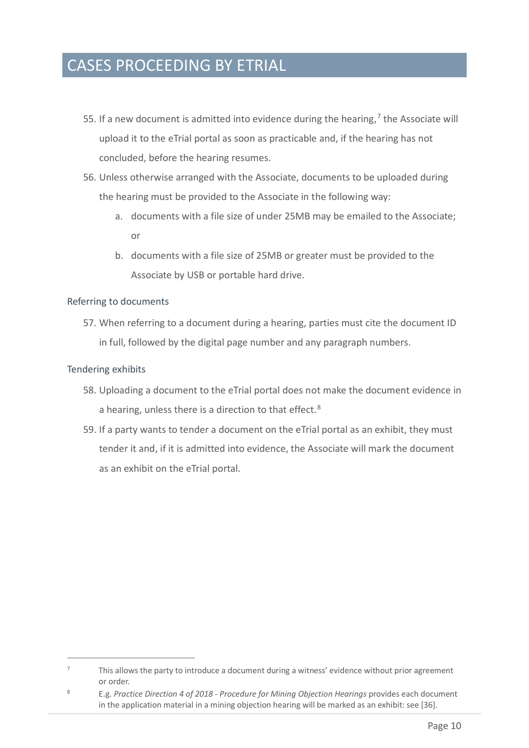- 55. If a new document is admitted into evidence during the hearing, $<sup>7</sup>$  $<sup>7</sup>$  $<sup>7</sup>$  the Associate will</sup> upload it to the eTrial portal as soon as practicable and, if the hearing has not concluded, before the hearing resumes.
- 56. Unless otherwise arranged with the Associate, documents to be uploaded during the hearing must be provided to the Associate in the following way:
	- a. documents with a file size of under 25MB may be emailed to the Associate; or
	- b. documents with a file size of 25MB or greater must be provided to the Associate by USB or portable hard drive.

### <span id="page-11-0"></span>Referring to documents

57. When referring to a document during a hearing, parties must cite the document ID in full, followed by the digital page number and any paragraph numbers.

### <span id="page-11-1"></span>Tendering exhibits

- 58. Uploading a document to the eTrial portal does not make the document evidence in a hearing, unless there is a direction to that effect.<sup>[8](#page-11-3)</sup>
- 59. If a party wants to tender a document on the eTrial portal as an exhibit, they must tender it and, if it is admitted into evidence, the Associate will mark the document as an exhibit on the eTrial portal.

<span id="page-11-2"></span><sup>7</sup> This allows the party to introduce a document during a witness' evidence without prior agreement or order.

<span id="page-11-3"></span><sup>8</sup> E.g. *Practice Direction 4 of 2018 - Procedure for Mining Objection Hearings* provides each document in the application material in a mining objection hearing will be marked as an exhibit: see [36].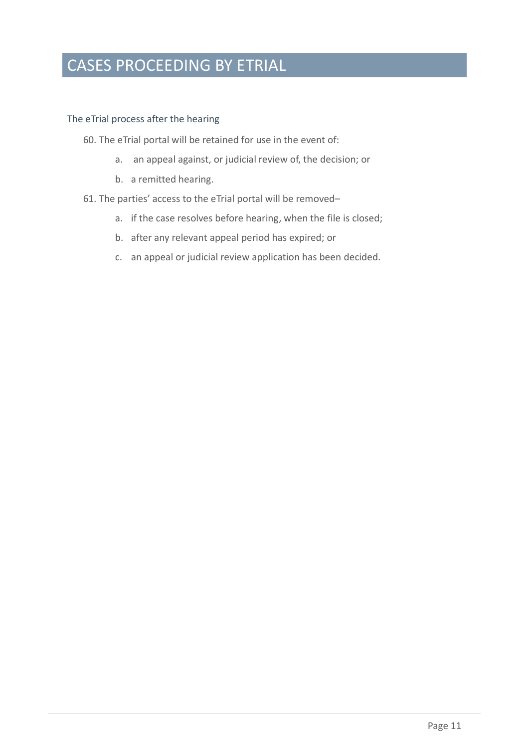### <span id="page-12-0"></span>The eTrial process after the hearing

- 60. The eTrial portal will be retained for use in the event of:
	- a. an appeal against, or judicial review of, the decision; or
	- b. a remitted hearing.

### 61. The parties' access to the eTrial portal will be removed–

- a. if the case resolves before hearing, when the file is closed;
- b. after any relevant appeal period has expired; or
- c. an appeal or judicial review application has been decided.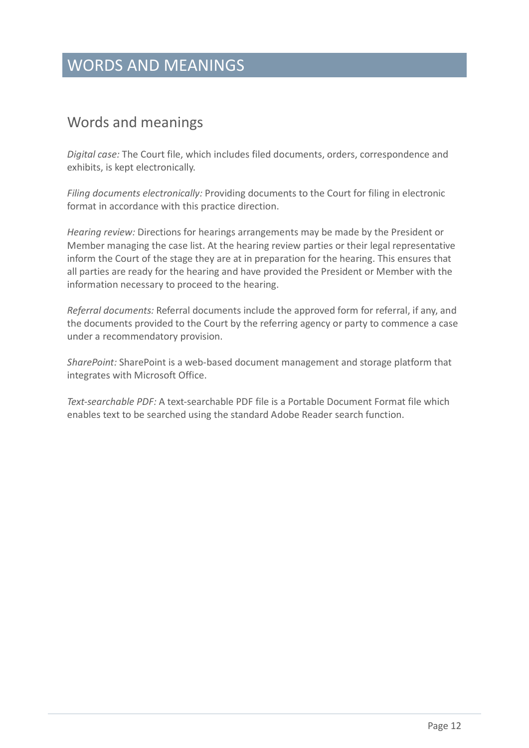# WORDS AND MEANINGS

### <span id="page-13-0"></span>Words and meanings

*Digital case:* The Court file, which includes filed documents, orders, correspondence and exhibits, is kept electronically.

*Filing documents electronically:* Providing documents to the Court for filing in electronic format in accordance with this practice direction.

*Hearing review:* Directions for hearings arrangements may be made by the President or Member managing the case list. At the hearing review parties or their legal representative inform the Court of the stage they are at in preparation for the hearing. This ensures that all parties are ready for the hearing and have provided the President or Member with the information necessary to proceed to the hearing.

*Referral documents:* Referral documents include the approved form for referral, if any, and the documents provided to the Court by the referring agency or party to commence a case under a recommendatory provision.

*SharePoint:* SharePoint is a web-based document management and storage platform that integrates with Microsoft Office.

*Text-searchable PDF:* A text-searchable PDF file is a Portable Document Format file which enables text to be searched using the standard Adobe Reader search function.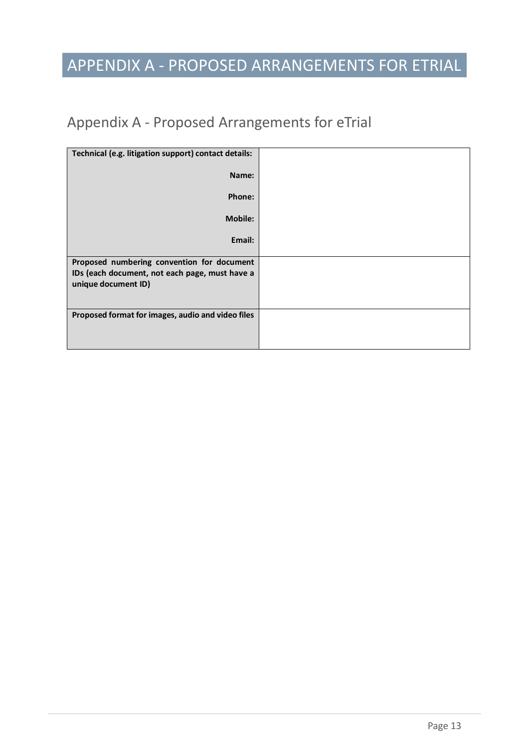# APPENDIX A - PROPOSED ARRANGEMENTS FOR ETRIAL

# <span id="page-14-0"></span>Appendix A - Proposed Arrangements for eTrial

| Technical (e.g. litigation support) contact details: |  |
|------------------------------------------------------|--|
| Name:                                                |  |
| Phone:                                               |  |
| <b>Mobile:</b>                                       |  |
| Email:                                               |  |
| Proposed numbering convention for document           |  |
| IDs (each document, not each page, must have a       |  |
| unique document ID)                                  |  |
|                                                      |  |
| Proposed format for images, audio and video files    |  |
|                                                      |  |
|                                                      |  |